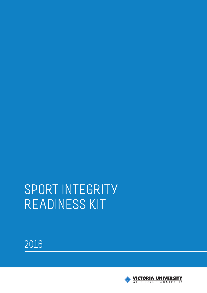# SPORT INTEGRITY READINESS KIT



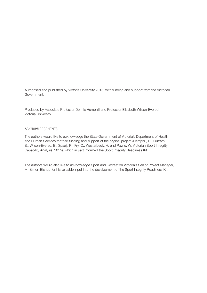Authorised and published by Victoria University 2016, with funding and support from the Victorian Government.

Produced by Associate Professor Dennis Hemphill and Professor Elisabeth Wilson-Evered, Victoria University.

#### ACKNOWLEDGEMENTS

The authors would like to acknowledge the State Government of Victoria's Department of Health and Human Services for their funding and support of the original project (Hemphill, D., Outram, S., Wilson-Evered, E., Spaaij, R., Fry, C., Westerbeek, H. and Payne, W. Victorian Sport Integrity Capability Analysis. 2015), which in part informed the Sport Integrity Readiness Kit.

The authors would also like to acknowledge Sport and Recreation Victoria's Senior Project Manager, Mr Simon Bishop for his valuable input into the development of the Sport Integrity Readiness Kit.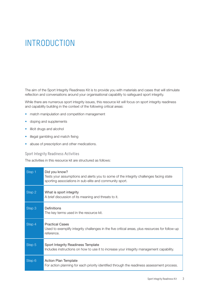## **INTRODUCTION**

The aim of the Sport Integrity Readiness Kit is to provide you with materials and cases that will stimulate reflection and conversations around your organisational capability to safeguard sport integrity.

While there are numerous sport integrity issues, this resource kit will focus on sport integrity readiness and capability building in the context of the following critical areas:

- match manipulation and competition management
- doping and supplements
- illicit drugs and alcohol
- illegal gambling and match fixing
- abuse of prescription and other medications.

#### Sport Integrity Readiness Activities

The activities in this resource kit are structured as follows:

| Step 1 | Did you know?<br>Tests your assumptions and alerts you to some of the integrity challenges facing state<br>sporting associations in sub-elite and community sport. |
|--------|--------------------------------------------------------------------------------------------------------------------------------------------------------------------|
| Step 2 | What is sport integrity<br>A brief discussion of its meaning and threats to it.                                                                                    |
| Step 3 | Definitions<br>The key terms used in the resource kit.                                                                                                             |
| Step 4 | <b>Practical Cases</b><br>Used to exemplify integrity challenges in the five critical areas, plus resources for follow-up<br>reference.                            |
| Step 5 | Sport Integrity Readiness Template<br>Includes instructions on how to use it to increase your integrity management capability.                                     |
| Step 6 | Action Plan Template<br>For action planning for each priority identified through the readiness assessment process.                                                 |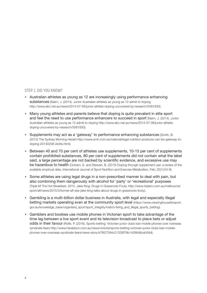#### STEP 1. DID YOU KNOW?

- Australian athletes as young as 12 are increasingly using performance enhancing substances (Nairn, J. (2014). Junior Australian athletes as young as 12 admit to doping http://www.abc.net.au/news/2014-07-08/junior-athlete-doping-uncovered-by-research/5581930).
- Many young athletes and parents believe that doping is quite prevalent in elite sport and feel the need to use performance enhancers to succeed in sport (Nairn, J. (2014). Junior Australian athletes as young as 12 admit to doping http://www.abc.net.au/news/2014-07-08/junior-athletedoping-uncovered-by-research/5581930).
- Supplements may act as a 'gateway' to performance enhancing substances (Smith, B. (2013) The Sydney Morning Herald http://www.smh.com.au/national/legal-nutrition-products-can-be-gateway-todoping-20130208-2e3te.html).
- Between 40 and 70 per cent of athletes use supplements, 10-15 per cent of supplements contain prohibited substances, 80 per cent of supplements did not contain what the label said, a large percentage are not backed by scientific evidence, and excessive use may be hazardous to health (Outram, S. and Stewart, B. (2015) Doping through supplement use: a review of the available empirical data. International Journal of Sport Nutrition and Exercise Metabolism, Feb; 25(1):54-9).
- Some athletes are using legal drugs in a non-prescribed manner to deal with pain, but also combining them dangerously with alcohol for 'party' or 'recreational' purposes [\(Triple M The Hot Breakfast, 2015. Jake King: Drugs in Grassroots Footy. http://www.triplem.com.au/melbourne/](http://www.triplem.com.au/melbourne/sport/afl/news/2015/3/former-afl-star-jake-king-talks-about-drugs-in-grassroots-footy) sport/afl/news/2015/3/former-afl-star-jake-king-talks-about-drugs-in-grassroots-footy).
- Gambling is a multi-billion dollar business in Australia, with legal and especially illegal betting markets operating even at the community sport level (https://www.clearinghouseforsport. gov.au/knowledge\_base/organised\_sport/sport\_integrity/match-fixing\_and\_illegal\_sports\_betting).
- Gamblers and bookies use mobile phones in Victorian sport to take advantage of the time lag between a live sport event and its television broadcast to place bets or adjust odds in their favour (Rolfe, P. (2016). Sports betting: Victorian junior clubs ban mobile phones over overseas syndicate fears http://www.heraldsun.com.au/news/victoria/sports-betting-victorian-junior-clubs-ban-mobilephones-over-overseas-syndicate-fears/news-story/e7f827594c21328f76b14286d9ca049d).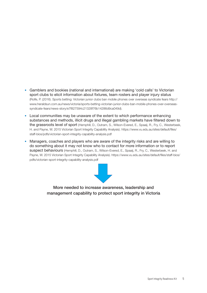- Gamblers and bookies (national and international) are making 'cold calls' to Victorian sport clubs to elicit information about fixtures, team rosters and player injury status (Rolfe, P. (2016). Sports betting: Victorian junior clubs ban mobile phones over overseas syndicate fears http:// www.heraldsun.com.au/news/victoria/sports-betting-victorian-junior-clubs-ban-mobile-phones-over-overseassyndicate-fears/news-story/e7f827594c21328f76b14286d9ca049d).
- Local communities may be unaware of the extent to which performance enhancing substances and methods, illicit drugs and illegal gambling markets have filtered down to the grassroots level of sport (Hemphill, D., Outram, S., Wilson-Evered, E., Spaaij, R., Fry, C., Westerbeek, [H. and Payne, W. 2015 Victorian Sport Integrity Capability Analysis\).](https://www.vu.edu.au/sites/default/files/staff-bios/pdfs/victorian-sport-integrity-capability-analysis.pdf) https://www.vu.edu.au/sites/default/files/ staff-bios/pdfs/victorian-sport-integrity-capability-analysis.pdf
- Managers, coaches and players who are aware of the integrity risks and are willing to do something about it may not know who to contact for more information or to report suspect behaviours (Hemphill, D., Outram, S., Wilson-Evered, E., Spaaij, R., Fry, C., Westerbeek, H. and [Payne, W. 2015 Victorian Sport Integrity Capability Analysis\). https://www.vu.edu.au/sites/default/files/staff-bios/](https://www.vu.edu.au/sites/default/files/staff-bios/pdfs/victorian-sport-integrity-capability-analysis.pdf) pdfs/victorian-sport-integrity-capability-analysis.pdf



More needed to increase awareness, leadership and management capability to protect sport integrity in Victoria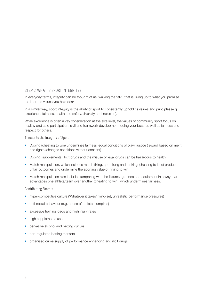#### STEP 2. WHAT IS SPORT INTEGRITY?

In everyday terms, integrity can be thought of as 'walking the talk', that is, living up to what you promise to do or the values you hold dear.

In a similar way, sport integrity is the ability of sport to consistently uphold its values and principles (e.g. excellence, fairness, health and safety, diversity and inclusion).

While excellence is often a key consideration at the elite level, the values of community sport focus on healthy and safe participation, skill and teamwork development, doing your best, as well as fairness and respect for others.

Threats to the Integrity of Sport

- Doping (cheating to win) undermines fairness (equal conditions of play), justice (reward based on merit) and rights (changes conditions without consent).
- Doping, supplements, illicit drugs and the misuse of legal drugs can be hazardous to health.
- Match manipulation, which includes match fixing, spot fixing and tanking (cheating to lose) produce unfair outcomes and undermine the sporting value of 'trying to win'.
- Match manipulation also includes tampering with the fixtures, grounds and equipment in a way that advantages one athlete/team over another (cheating to win), which undermines fairness.

#### Contributing Factors

- hyper-competitive culture ('Whatever it takes' mind-set, unrealistic performance pressures)
- anti-social behaviour (e.g. abuse of athletes, umpires)
- excessive training loads and high injury rates
- high supplements use
- pervasive alcohol and betting culture
- non-regulated betting markets
- organised crime supply of performance enhancing and illicit drugs.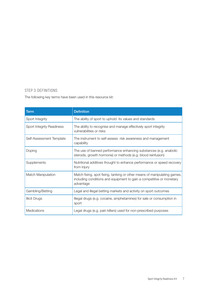#### STEP 3. DEFINITIONS

The following key terms have been used in this resource kit:

| <b>Term</b>               | <b>Definition</b>                                                                                                                                             |
|---------------------------|---------------------------------------------------------------------------------------------------------------------------------------------------------------|
| Sport Integrity           | The ability of sport to uphold its values and standards                                                                                                       |
| Sport Integrity Readiness | The ability to recognise and manage effectively sport integrity<br>vulnerabilities or risks                                                                   |
| Self-Assessment Template  | The instrument to self-assess risk awareness and management<br>capability                                                                                     |
| Doping                    | The use of banned performance enhancing substances (e.g. anabolic<br>steroids, growth hormone) or methods (e.g. blood reinfusion)                             |
| Supplements               | Nutritional additives thought to enhance performance or speed recovery<br>from injury                                                                         |
| Match Manipulation        | Match fixing, spot fixing, tanking or other means of manipulating games,<br>including conditions and equipment to gain a competitive or monetary<br>advantage |
| Gambling/Betting          | Legal and illegal betting markets and activity on sport outcomes                                                                                              |
| <b>Illicit Drugs</b>      | Illegal drugs (e.g. cocaine, amphetamines) for sale or consumption in<br>sport                                                                                |
| Medications               | Legal drugs (e.g. pain killers) used for non-prescribed purposes                                                                                              |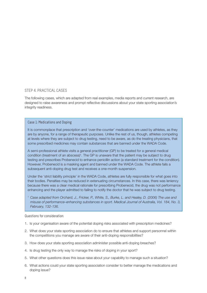#### STEP 4. PRACTICAL CASES

The following cases, which are adapted from real examples, media reports and current research, are designed to raise awareness and prompt reflective discussions about your state sporting association's integrity readiness.

#### Case 1: Medications and Doping

It is commonplace that prescription and 'over-the-counter' medications are used by athletes, as they are by anyone, for a range of therapeutic purposes. Unlike the rest of us, though, athletes competing at levels where they are subject to drug testing, need to be aware, as do the treating physicians, that some prescribed medicines may contain substances that are banned under the WADA Code.

A semi-professional athlete visits a general practitioner (GP) to be treated for a general medical condition (treatment of an abscess)<sup>1</sup>. The GP is unaware that the patient may be subject to drug testing and prescribes Probenecid to enhance penicillin action (a standard treatment for the condition). However, Probenecid is a masking agent and banned under the WADA Code. The athlete fails a subsequent anti-doping drug test and receives a one-month suspension.

Under the 'strict liability principle' in the WADA Code, athletes are fully responsible for what goes into their bodies. Penalties may be reduced in extenuating circumstances. In this case, there was leniency because there was a clear medical rationale for prescribing Probenecid, the drug was not performance enhancing and the player admitted to failing to notify the doctor that he was subject to drug testing.

*<sup>1</sup> Case adapted from Orchard, J., Fricker, P., White, S., Burke, L. and Healey, D. (2006) The use and misuse of performance–enhancing substances in sport. Medical Journal of Australia, Vol. 184, No. 3, February, 132-136.*

- 1. Is your organisation aware of the potential doping risks associated with prescription medicines?
- 2. What does your state sporting association do to ensure that athletes and support personnel within the competitions you manage are aware of their anti-doping responsibilities?
- 3. How does your state sporting association administer possible anti-doping breaches?
- 4. Is drug testing the only way to manage the risks of doping in your sport?
- 5. What other questions does this issue raise about your capability to manage such a situation?
- 6. What actions could your state sporting association consider to better manage the medications and doping issue?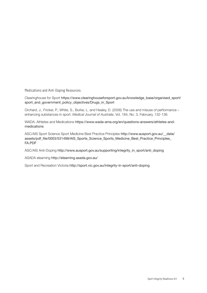Medications and Anti-Doping Resources:

Clearinghouse for Sport [https://www.clearinghouseforsport.gov.au/knowledge\\_base/organised\\_sport/](https://www.clearinghouseforsport.gov.au/knowledge_base/organised_sport/sport_and_government_policy_objectives/Drugs_in_Sport) sport and government policy objectives/Drugs in Sport

Orchard, J., Fricker, P., White, S., Burke, L. and Healey, D. (2006) The use and misuse of performance – enhancing substances in sport. *Medical Journal of Australia*, Vol. 184, No. 3, February, 132-136.

WADA: Athletes and Medications https://www.wada-ama.org/en/questions-answers/athletes-andmedications

ASC/AIS Sport Science Sport Medicine Best Practice Principles http://www.ausport.gov.au/\_\_data/ assets/pdf\_file/0003/531498/AIS\_Sports\_Science\_Sports\_Medicine\_Best\_Practice\_Principles FA.PDF

ASC/AIS Anti-Doping http://www.ausport.gov.au/supporting/integrity\_in\_sport/anti\_doping

ASADA elearning http://elearning.asada.gov.au/

Sport and Recreation Victoria http://sport.vic.gov.au/integrity-in-sport/anti-doping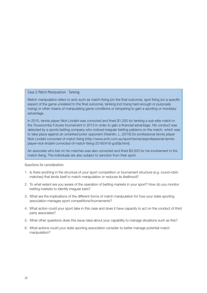#### Case 2: Match Manipulation - Tanking

Match manipulation refers to acts such as match fixing (on the final outcome), spot fixing (on a specific aspect of the game unrelated to the final outcome), tanking (not trying hard enough or purposely losing) or other means of manipulating game conditions or tampering to gain a sporting or monetary advantage.

In 2015, tennis player Nick Lindahl was convicted and fined \$1,000 for tanking a sub-elite match in the Toowoomba Futures tournament in 2013 in order to gain a financial advantage. His conduct was detected by a sports betting company who noticed irregular betting patterns on the match, which was to take place against an unranked junior opponent (Visentin, L. (2016) Ex-professional tennis player [Nick Lindahl convicted of match fixing \(http://www.smh.com.au/sport/tennis/exprofessional-tennis](http://www.smh.com.au/sport/tennis/exprofessional-tennis-player-nick-lindahl-convicted-of-match-fixing-20160418-go93jr.html)player-nick-lindahl-convicted-of-match-fixing-20160418-go93jr.html).

An associate who bet on his matches was also convicted and fined \$3,500 for his involvement in the match-fixing. The individuals are also subject to sanction from their sport.

- 1. Is there anything in the structure of your sport competition or tournament structure (e.g. round-robin matches) that lends itself to match manipulation or reduces its likelihood?
- 2. To what extent are you aware of the operation of betting markets in your sport? How do you monitor betting markets to identify irregular bets?
- 3. What are the implications of the different forms of match manipulation for how your state sporting association manages sport competitions/tournaments?
- 4. What action could your sport take in this case and does it have capacity to act on the conduct of third party associates?
- 5. What other questions does this issue raise about your capability to manage situations such as this?
- 6. What actions could your state sporting association consider to better manage potential match manipulation?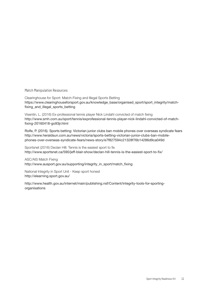Match Manipulation Resources:

Clearinghouse for Sport: Match-Fixing and Illegal Sports Betting https://www.clearinghouseforsport.gov.au/knowledge\_base/organised\_sport/sport\_integrity/matchfixing\_and\_illegal\_sports\_betting

Visentin, L. (2016) Ex-professional tennis player Nick Lindahl convicted of match fixing http://www.smh.com.au/sport/tennis/exprofessional-tennis-player-nick-lindahl-convicted-of-matchfixing-20160418-go93jr.html

Rolfe, P. (2016). Sports betting: Victorian junior clubs ban mobile phones over overseas syndicate fears http://www.heraldsun.com.au/news/victoria/sports-betting-victorian-junior-clubs-ban-mobilephones-over-overseas-syndicate-fears/news-story/e7f827594c21328f76b14286d9ca049d

Sportsnet (2016) Declan Hill: Tennis is the easiest sport to fix http://www.sportsnet.ca/590/jeff-blair-show/declan-hill-tennis-is-the-easiest-sport-to-fix/

ASC/AIS Match Fixing http://www.ausport.gov.au/supporting/integrity\_in\_sport/match\_fixing

National Integrity in Sport Unit - Keep sport honest http://elearning.sport.gov.au/

[http://www.health.gov.au/internet/main/publishing.nsf/Content/integrity-tools-for-sporting](http://www.health.gov.au/internet/main/publishing.nsf/Content/integrity-tools-for-sporting-organisations)organisations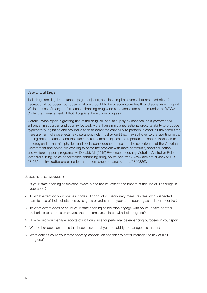#### Case 3: Illicit Drugs

Illicit drugs are illegal substances (e.g. marijuana, cocaine, amphetamines) that are used often for 'recreational' purposes, but pose what are thought to be unacceptable health and social risks in sport. While the use of many performance enhancing drugs and substances are banned under the WADA Code, the management of illicit drugs is still a work in progress.

Victoria Police report a growing use of the drug ice, and its supply by coaches, as a performance enhancer in suburban and country football. More than simply a recreational drug, its ability to produce hyperactivity, agitation and arousal is seen to boost the capability to perform in sport. At the same time, there are harmful side effects (e.g. paranoia, violent behaviour) that may spill over to the sporting fields, putting both the athlete and the club at risk in terms of injuries and reportable offences. Addiction to the drug and its harmful physical and social consequences is seen to be so serious that the Victorian Government and police are working to battle the problem with more community sport education and welfare support programs. McDonald, M. (2015) Evidence of country Victorian Australian Rules footballers using ice as performance enhancing drug, police say (http://www.abc.net.au/news/2015- 03-23/country-footballers-using-ice-as-performance-enhancing-drug/6340326).

- 1. Is your state sporting association aware of the nature, extent and impact of the use of illicit drugs in your sport?
- 2. To what extent do your policies, codes of conduct or disciplinary measures deal with suspected harmful use of illicit substances by leagues or clubs under your state sporting association's control?
- 3. To what extent does or could your state sporting association engage with police, health or other authorities to address or prevent the problems associated with illicit drug use?
- 4. How would you manage reports of illicit drug use for performance enhancing purposes in your sport?
- 5. What other questions does this issue raise about your capability to manage this matter?
- 6. What actions could your state sporting association consider to better manage the risk of illicit drug use?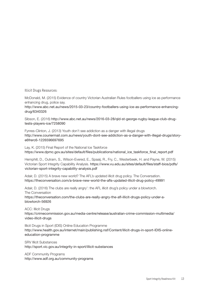Illicit Drugs Resources:

McDonald, M. (2015) Evidence of country Victorian Australian Rules footballers using ice as performance enhancing drug, police say.

http://www.abc.net.au/news/2015-03-23/country-footballers-using-ice-as-performance-enhancingdrug/6340326

Sibson, E. (2016) http://www.abc.net.au/news/2016-03-28/qld-st-george-rugby-league-club-drugtests-players-ice/7258090

Fynres-Clinton, J. (2013) Youth don't see addiction as a danger with illegal drugs http://www.couriermail.com.au/news/youth-dont-see-addiction-as-a-danger-with-illegal-drugs/storye6frerc6-1226596697695

Lay, K. (2015) Final Report of the National Ice Taskforce https://www.dpmc.gov.au/sites/default/files/publications/national\_ice\_taskforce\_final\_report.pdf

Hemphill, D., Outram, S., Wilson-Evered, E., Spaaij, R., Fry, C., Westerbeek, H. and Payne, W. (2015) Victorian Sport Integrity Capability Analysis. [https://www.vu.edu.au/sites/default/files/staff-bios/pdfs/](https://www.vu.edu.au/sites/default/files/staff-bios/pdfs/victorian-sport-integrity-capability-analysis.pdf) victorian-sport-integrity-capability-analysis.pdf

Adair, D. (2015) A brave new world? The AFL's updated illicit drug policy. The Conversation. https://theconversation.com/a-brave-new-world-the-afls-updated-illicit-drug-policy-49991

Adair, D. (2016) The clubs are really angry': the AFL illicit drug's policy under a blowtorch. The Conversation https://theconversation.com/the-clubs-are-really-angry-the-afl-illicit-drugs-policy-under-ablowtorch-56926

ACC: Illicit Druas

[https://crimecommission.gov.au/media-centre/release/australian-crime-commission-multimedia/](https://crimecommission.gov.au/media-centre/release/australian-crime-commission-multimedia/video-illicit-drugs) video-illicit-drugs

Illicit Drugs in Sport (IDIS) Online Education Programme http://www.health.gov.au/internet/main/publishing.nsf/Content/illicit-drugs-in-sport-IDIS-onlineeducation-programme

SRV Illicit Substances http://sport.vic.gov.au/integrity-in-sport/illicit-substances

ADF Community Programs http://www.adf.org.au/community-programs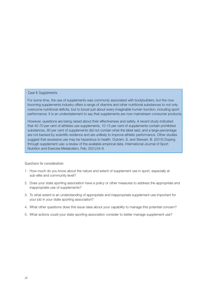#### Case 4: Supplements

For some time, the use of supplements was commonly associated with bodybuilders, but the now booming supplements industry offers a range of vitamins and other nutritional substances to not only overcome nutritional deficits, but to boost just about every imaginable human function, including sport performance. It is an understatement to say that supplements are now mainstream consumer products.

However, questions are being raised about their effectiveness and safety. A recent study indicated that 40-70 per cent of athletes use supplements, 10-15 per cent of supplements contain prohibited substances, 80 per cent of supplements did not contain what the label said, and a large percentage are not backed by scientific evidence and are unlikely to improve athletic performance. Other studies suggest that excessive use may be hazardous to health. Outram, S. and Stewart, B. (2015) Doping through supplement use: a review of the available empirical data. International Journal of Sport Nutrition and Exercise Metabolism, Feb; 25(1):54-9.

- 1. How much do you know about the nature and extent of supplement use in sport, especially at sub-elite and community level?
- 2. Does your state sporting association have a policy or other measures to address the appropriate and inappropriate use of supplements?
- 3. To what extent is an understanding of appropriate and inappropriate supplement use important for your job in your state sporting association?
- 4. What other questions does this issue raise about your capability to manage this potential concern?
- 5. What actions could your state sporting association consider to better manage supplement use?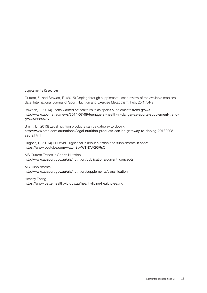Supplements Resources:

Outram, S. and Stewart, B. (2015) Doping through supplement use: a review of the available empirical data. International Journal of Sport Nutrition and Exercise Metabolism. Feb; 25(1):54-9.

Bowden, T. (2014) Teens warned off health risks as sports supplements trend grows http://www.abc.net.au/news/2014-07-09/teenagers'-health-in-danger-as-sports-supplement-trendgrows/5585576

Smith, B. (2013) Legal nutrition products can be gateway to doping http://www.smh.com.au/national/legal-nutrition-products-can-be-gateway-to-doping-20130208- 2e3te.html

Hughes, D. (2014) Dr David Hughes talks about nutrition and supplements in sport https://www.youtube.com/watch?v=WTN7JX93RsQ

AIS Current Trends in Sports Nutrition http://www.ausport.gov.au/ais/nutrition/publications/current\_concepts

AIS Supplements http://www.ausport.gov.au/ais/nutrition/supplements/classification

Healthy Eating https://www.betterhealth.vic.gov.au/healthyliving/healthy-eating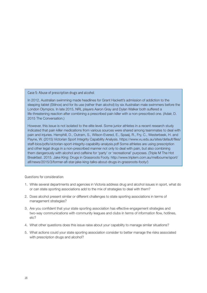#### Case 5: Abuse of prescription drugs and alcohol

In 2012, Australian swimming made headlines for Grant Hackett's admission of addiction to the sleeping tablet (Stilnox) and for its use (rather than alcohol) by six Australian male swimmers before the London Olympics. In late 2015, NRL players Aaron Gray and Dylan Walker both suffered a life-threatening reaction after combining a prescribed pain killer with a non-prescribed one. (Adair, D. 2015 The Conversation.)

However, this issue is not isolated to the elite level. Some junior athletes in a recent research study indicated that pain killer medications from various sources were shared among teammates to deal with pain and injuries. Hemphill, D., Outram, S., Wilson-Evered, E., Spaaij, R., Fry, C., Westerbeek, H. and Payne, W. (2015) Victorian Sport Integrity Capability Analysis. https://www.vu.edu.au/sites/default/files/ staff-bios/pdfs/victorian-sport-integrity-capability-analysis.pdf Some athletes are using prescription and other legal drugs in a non-prescribed manner not only to deal with pain, but also combining them dangerously with alcohol and caffeine for 'party' or 'recreational' purposes. (Triple M The Hot Breakfast. 2015. Jake King: Drugs in Grassroots Footy. http://www.triplem.com.au/melbourne/sport/ afl/news/2015/3/former-afl-star-jake-king-talks-about-drugs-in-grassroots-footy/)

- 1. While several departments and agencies in Victoria address drug and alcohol issues in sport, what do or can state sporting associations add to the mix of strategies to deal with them?
- 2. Does alcohol present similar or different challenges to state sporting associations in terms of management strategies?
- 3. Are you confident that your state sporting association has effective engagement strategies and two-way communications with community leagues and clubs in terms of information flow, hotlines, etc?
- 4. What other questions does this issue raise about your capability to manage similar situations?
- 5. What actions could your state sporting association consider to better manage the risks associated with prescription drugs and alcohol?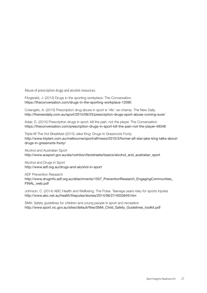Abuse of prescription drugs and alcohol resources:

Fitzgerald, J. (2013) Drugs in the sporting workplace. The Conversation. https://theconversation.com/drugs-in-the-sporting-workplace-12090

Colangelo, A. (2015) Prescription drug abuse in sport is 'rife': ex-champ. The New Daily. http://thenewdaily.com.au/sport/2015/09/23/prescription-drugs-sport-abuse-coming-sure/

Adair, D. (2015) Prescription drugs in sport; kill the pain, not the player. The Conversation. https://theconversation.com/prescription-drugs-in-sport-kill-the-pain-not-the-player-49348

Triple M The Hot Breakfast (2015) Jake King: Drugs In Grassroots Footy http://www.triplem.com.au/melbourne/sport/afl/news/2015/3/former-afl-star-jake-king-talks-aboutdrugs-in-grassroots-footy/

Alcohol and Australian Sport http://www.ausport.gov.au/ais/nutrition/factsheets/basics/alcohol\_and\_australian\_sport

Alcohol and Drugs in Sport http://www.adf.org.au/drugs-and-alcohol-in-sport

ADF Prevention Research

[http://www.druginfo.adf.org.au/attachments/1507\\_PreventionResearch\\_EngagingCommunities\\_](http://www.druginfo.adf.org.au/attachments/1507_PreventionResearch_EngagingCommunities_ FINAL_web.pdf) FINAL\_web.pdf

Johnson, C. (2014) ABC Health and Wellbeing. The Pulse. Teenage years risky for sports injuries http://www.abc.net.au/health/thepulse/stories/2014/06/27/4033649.htm

SMA: Safety guidelines for children and young people in sport and recreation http://www.sport.vic.gov.au/sites/default/files/SMA\_Child\_Safety\_Guidelines\_toolkit.pdf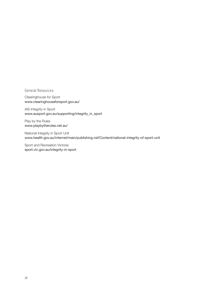#### General Resources:

Clearinghouse for Sport www.clearinghouseforsport.gov.au/

AIS Integrity in Sport www.ausport.gov.au/supporting/integrity\_in\_sport

Play by the Rules www.playbytherules.net.au/

National Integrity in Sport Unit www.health.gov.au/internet/main/publishing.nsf/Content/national-integrity-of-sport-unit

Sport and Recreation Victoria sport.vic.gov.au/integrity-in-sport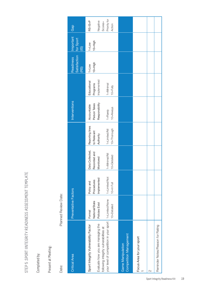# STEP 5. SPORT IINTEGRITY READINESS ASSESSMENT TEMPLATE STEP 5 .SPORT IINTEGRITY READINESS ASSESSMENT TEMPLATE

Completed by: Completed by:

Present at Meeting: Present at Meeting:

Date: Planned Review Date: Date:

Planned Review Date:

| <b>Critical Area</b>                                                                                                                                                            | Preventative Factors                                      |                                                                        |                                                                              |                                                                             | Interventions                                                              |                                                                 | <b>Satisfaction</b><br>Readiness<br>(RS) | Important<br>for Sport<br>(15) | Gap                                                          |
|---------------------------------------------------------------------------------------------------------------------------------------------------------------------------------|-----------------------------------------------------------|------------------------------------------------------------------------|------------------------------------------------------------------------------|-----------------------------------------------------------------------------|----------------------------------------------------------------------------|-----------------------------------------------------------------|------------------------------------------|--------------------------------|--------------------------------------------------------------|
| your level of competition in your sport   1=Limited/None<br>Evaluate how you are managing the<br>Sport Integrity Vulnerability Factor<br>following integrity vulnerabilities at | National/State<br>Policies Exist<br>10=Detailed<br>Formal | 1=Limited/Not<br>Implemented<br>Procedures<br>Policy and<br>10=In Full | Data Collected,<br>Recorded and<br>1=Minimal/Nil<br>10=Detailed<br>Monitored | Reporting lines<br>10=Thorough<br>1=Limited/Nil<br>to Relevant<br>Authority | Responsibility<br>Person Takes<br>Accountable<br>10=Always<br>$1 =$ Rarely | Implemented<br>Educational<br>Programs<br>1=Minimal<br>10=Fully | $10=H$ igh<br>$1 = Low$                  | $10 = H$ igh<br>$1 = Low$      | Priority for<br>$RS-IS = P$<br>Negative<br>Scores=<br>Action |
| <b>Competition Management</b><br><b>Game Manipulation</b>                                                                                                                       |                                                           |                                                                        |                                                                              |                                                                             |                                                                            |                                                                 |                                          |                                |                                                              |
| Focus Area for your sport                                                                                                                                                       |                                                           |                                                                        |                                                                              |                                                                             |                                                                            |                                                                 |                                          |                                |                                                              |
|                                                                                                                                                                                 |                                                           |                                                                        |                                                                              |                                                                             |                                                                            |                                                                 |                                          |                                |                                                              |
| Reminder Notes/Reason for Rating                                                                                                                                                |                                                           |                                                                        |                                                                              |                                                                             |                                                                            |                                                                 |                                          |                                |                                                              |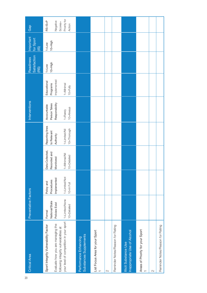| <b>Critical Area</b>                                                                                                                                           | Preventative Factors                                                        |                                                                        |                                                                              |                                                                             | Interventions                                                              |                                                                     | <b>Satisfaction</b><br>Readiness<br>(BS) | Important<br>for Sport<br>$\circledS$ | Gap                                                          |
|----------------------------------------------------------------------------------------------------------------------------------------------------------------|-----------------------------------------------------------------------------|------------------------------------------------------------------------|------------------------------------------------------------------------------|-----------------------------------------------------------------------------|----------------------------------------------------------------------------|---------------------------------------------------------------------|------------------------------------------|---------------------------------------|--------------------------------------------------------------|
| your level of competition in your sport<br>Evaluate how you are managing the<br>Sport Integrity Vulnerability Factor<br>following integrity vulnerabilities at | 1=Limited/None<br>National/State<br>Policies Exist<br>10=Detailed<br>Formal | 1=Limited/Not<br>Implemented<br>Procedures<br>Policy and<br>10-In Full | Data Collected,<br>Recorded and<br>1=Minimal/Nil<br>10=Detailed<br>Monitored | Reporting lines<br>10=Thorough<br>1=Limited/Nil<br>to Relevant<br>Authority | Responsibility<br>Person Takes<br>Accountable<br>10=Always<br>$1 =$ Rarely | Implemented<br>Educational<br>Programs<br>$1 =$ Minimal<br>10=Fully | $10=H$ igh<br>$1 = Low$                  | $10 = H$ igh<br>$1 = Low$             | Priority for<br>$RS-IS = P$<br>Negative<br>Scores=<br>Action |
| <b>Substances Supplements</b><br>Performance Enhancing                                                                                                         |                                                                             |                                                                        |                                                                              |                                                                             |                                                                            |                                                                     |                                          |                                       |                                                              |
| List Focus Area for your Sport                                                                                                                                 |                                                                             |                                                                        |                                                                              |                                                                             |                                                                            |                                                                     |                                          |                                       |                                                              |
| 2                                                                                                                                                              |                                                                             |                                                                        |                                                                              |                                                                             |                                                                            |                                                                     |                                          |                                       |                                                              |
| Reminder Notes/Reason for Rating                                                                                                                               |                                                                             |                                                                        |                                                                              |                                                                             |                                                                            |                                                                     |                                          |                                       |                                                              |
| Inappropriate Use of Alcohol<br><b>Illicit Substance Use</b>                                                                                                   |                                                                             |                                                                        |                                                                              |                                                                             |                                                                            |                                                                     |                                          |                                       |                                                              |
| Areas of Priority for your Sport                                                                                                                               |                                                                             |                                                                        |                                                                              |                                                                             |                                                                            |                                                                     |                                          |                                       |                                                              |
| 2                                                                                                                                                              |                                                                             |                                                                        |                                                                              |                                                                             |                                                                            |                                                                     |                                          |                                       |                                                              |
| Reminder Notes/Reason for Rating                                                                                                                               |                                                                             |                                                                        |                                                                              |                                                                             |                                                                            |                                                                     |                                          |                                       |                                                              |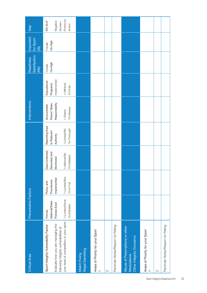| <b>Critical Area</b>                                                                                                                                           | Preventative Factors                                                        |                                                                        |                                                                              |                                                                             | Interventions                                                              |                                                                     | Satisfaction<br><b>Readiness</b><br>(BS) | Important<br>for Sport<br>$\circled{15}$ | Gap                                                          |
|----------------------------------------------------------------------------------------------------------------------------------------------------------------|-----------------------------------------------------------------------------|------------------------------------------------------------------------|------------------------------------------------------------------------------|-----------------------------------------------------------------------------|----------------------------------------------------------------------------|---------------------------------------------------------------------|------------------------------------------|------------------------------------------|--------------------------------------------------------------|
| your level of competition in your sport<br>Evaluate how you are managing the<br>Sport Integrity Vulnerability Factor<br>following integrity vulnerabilities at | 1=Limited/None<br>National/State<br>Policies Exist<br>10-Detailed<br>Formal | 1=Limited/Not<br>Implemented<br>Procedures<br>Policy and<br>10-In Full | Data Collected,<br>Recorded and<br>1=Minimal/Nil<br>10=Detailed<br>Monitored | Reporting lines<br>10=Thorough<br>1=Limited/Nil<br>to Relevant<br>Authority | Responsibility<br>Person Takes<br>Accountable<br>10=Always<br>$1 =$ Rarely | Implemented<br>Educational<br>Programs<br>$1 =$ Minimal<br>10=Fully | $10=H$ igh<br>$1 = Low$                  | $10 = H$ igh<br>$1 = Low$                | Priority for<br>$RS-IS = P$<br>Negative<br>Scores=<br>Action |
| Illegal Gambling<br>Match Fixing                                                                                                                               |                                                                             |                                                                        |                                                                              |                                                                             |                                                                            |                                                                     |                                          |                                          |                                                              |
| Areas of Priority for your Sport                                                                                                                               |                                                                             |                                                                        |                                                                              |                                                                             |                                                                            |                                                                     |                                          |                                          |                                                              |
|                                                                                                                                                                |                                                                             |                                                                        |                                                                              |                                                                             |                                                                            |                                                                     |                                          |                                          |                                                              |
| Reminder Notes/Reason for Rating                                                                                                                               |                                                                             |                                                                        |                                                                              |                                                                             |                                                                            |                                                                     |                                          |                                          |                                                              |
| Abuse of Prescriptions or other<br>Other Integrity Concerns<br>Medciations                                                                                     |                                                                             |                                                                        |                                                                              |                                                                             |                                                                            |                                                                     |                                          |                                          |                                                              |
| Areas of Priority for your Sport                                                                                                                               |                                                                             |                                                                        |                                                                              |                                                                             |                                                                            |                                                                     |                                          |                                          |                                                              |
|                                                                                                                                                                |                                                                             |                                                                        |                                                                              |                                                                             |                                                                            |                                                                     |                                          |                                          |                                                              |
| Reminder Notes/Reason for Rating                                                                                                                               |                                                                             |                                                                        |                                                                              |                                                                             |                                                                            |                                                                     |                                          |                                          |                                                              |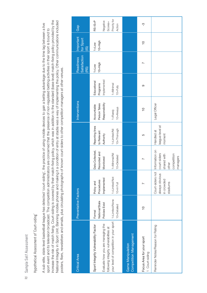# Sample Self Assessment Sample Self Assessment 22

# Hypothetical Assessment of 'Court-siding' Hypothetical Assessment of 'Court-siding'

increase the risk of match fixing. Court-siding is covered by their match-fixing policy, which was in addition to the standard (base level) match-fixing policy provided by the increase the risk of match fixing. Court-siding is covered by their match-fixing policy, which was in addition to the standard (base level) match-fixing policy provided by the National Integrity in Sport Unit. Banning mobile phones and making it a condition of entry at stadia was a way of implementing the policy. Other communications included National Integrity in Sport Unit. Banning mobile phones and making it a condition of entry at stadia was a way of implementing the policy. Other communications included A sub-elite, state-level basketball league has detected 'court-siding', the practice of using mobile devices to gain a betting advantage due to the time lag between a live A sub-elite, state-level basketball league has detected 'court-siding', the practice of using mobile devices to gain a betting advantage due to the time lag between a live sport event and its television broadcast. The competition administrators are concerned that the presence of non-regulated betting activities in their sport is bound to sport event and its television broadcast. The competition administrators are concerned that the presence of non-regulated betting activities in their sport is bound to posters, fliers, newsletters and emails, plus circulating photographs of known court-siders to other competition managers at other venues. posters, fliers, newsletters and emails, plus circulating photographs of known court-siders to other competition managers at other venues.

| <b>Critical Area</b>                                                                               | Preventative Factors                       |                                                              |                                                                                   |                                             | Interventions                                    |                                        | <b>Satisfaction</b><br><b>Readiness</b><br>(RS) | Important<br>for Sport<br>(15) | Gap                               |
|----------------------------------------------------------------------------------------------------|--------------------------------------------|--------------------------------------------------------------|-----------------------------------------------------------------------------------|---------------------------------------------|--------------------------------------------------|----------------------------------------|-------------------------------------------------|--------------------------------|-----------------------------------|
| Evaluate how you are managing the<br>Sport Integrity Vulnerability Factor                          | National/State<br>Policies Exist<br>Formal | Implemented<br>Procedures<br>Policy and                      | Data Collected,<br>Recorded and<br>Monitored                                      | Reporting lines<br>to Relevant<br>Authority | Responsibility<br>Person<br>Takes<br>Accountable | Implemented<br>Educational<br>Programs | $10=H$ igh<br>$1 = Low$                         | $10 = H$ igh<br>$1 = Low$      | $RS-IS = P$<br>Negative           |
| your level of competition in your sport   1=Limited/None<br>following integrity vulnerabilities at | 10=Detailed                                | 1=Limited/Not<br>10=In Full                                  | 1=Minimal/Nil<br>10=Detailed                                                      | 10=Thorough<br>1=Limited/Nil                | 10=Always<br>1=Rarely                            | 1=Minimal<br>10=Fully                  |                                                 |                                | Priority for<br>Scores=<br>Action |
| <b>Competition Management</b><br><b>Game Manipulation</b>                                          |                                            |                                                              |                                                                                   |                                             |                                                  |                                        |                                                 |                                |                                   |
| Focus Area for your sport<br>Court-siding                                                          | $\frac{1}{2}$                              |                                                              |                                                                                   | 5                                           | $\frac{1}{1}$                                    | တ                                      | N                                               | $\frac{1}{2}$                  | ကု                                |
| Reminder Notes/Reason for Rating                                                                   |                                            | Court-siders not<br>always obvious<br>in crowded<br>stadiums | Information on<br>court-siders<br>competition<br>shared with<br>managers<br>other | league-level at<br>Handled at<br>moment     | Legal Officer                                    |                                        |                                                 |                                |                                   |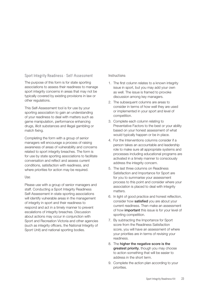#### Sport Integrity Readiness - Self-Assessment

The purpose of this form is for state sporting associations to assess their readiness to manage sport integrity concerns in areas that may not be typically covered by existing provisions in law or other regulations.

This Self-Assessment tool is for use by your sporting association to gain an understanding of your readiness to deal with matters such as game manipulation, performance enhancing drugs, illicit substances and illegal gambling or match fixing.

Completing the form with a group of senior managers will encourage a process of raising awareness of areas of vulnerability and concerns related to sport integrity breaches. The form is for use by state sporting associations to facilitate conversation and reflect and assess current conditions, satisfaction with readiness, and where priorities for action may be required.

#### Use:

Please use with a group of senior managers and staff. Conducting a Sport Integrity Readiness Self-Assessment in state sporting associations will identify vulnerable areas in the management of integrity in sport and their readiness to respond and act in a timely manner to prevent escalations of integrity breaches. Discussion about actions may occur in conjunction with Sport and Recreation Victoria and other agencies (such as integrity officers, the National Integrity of Sport Unit) and national sporting bodies.

#### Instructions:

- 1. The first column relates to a known integrity issue in sport, but you may add your own as well. The issue is framed to provoke discussion among key managers.
- 2. The subsequent columns are areas to consider in terms of how well they are used or implemented in your sport and level of competition.
- 3. Complete each column relating to Preventative Factors to the best or your ability based on your honest assessment of what would typically happen or be in place.
- 4. For the Interventions columns consider if a person takes an accountable and leadership role to make sure all appropriate systems and processes including educational programs are activated in a timely manner to consciously address the integrity concern.
- 5. The last three columns on Readiness Satisfaction and Importance for Sport are for you to summarise your assessment process to this point and consider where your association is placed to deal with integrity matters.
- 6. In light of good practice and honest reflection, consider how **satisfied** you are about your current readiness. Then make an assessment of how important this issue is for your level of sporting competition.
- 7. By subtracting the Importance for Sport score from the Readiness Satisfaction score, you will have an assessment of where your priorities are in terms of revising your readiness.
- 8. The higher the negative score is the greatest priority, though you may choose to action something that will be easier to address in the short term.
- 9. Complete the action plan according to your priorities.